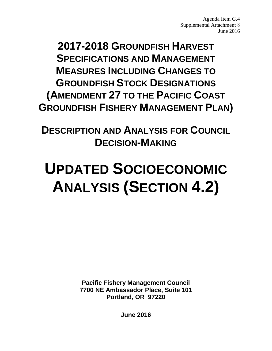Agenda Item G.4 Supplemental Attachment 8 June 2016

**2017-2018 GROUNDFISH HARVEST SPECIFICATIONS AND MANAGEMENT MEASURES INCLUDING CHANGES TO GROUNDFISH STOCK DESIGNATIONS (AMENDMENT 27 TO THE PACIFIC COAST GROUNDFISH FISHERY MANAGEMENT PLAN)** 

**DESCRIPTION AND ANALYSIS FOR COUNCIL DECISION-MAKING**

# **UPDATED SOCIOECONOMIC ANALYSIS (SECTION 4.2)**

**Pacific Fishery Management Council 7700 NE Ambassador Place, Suite 101 Portland, OR 97220**

**June 2016**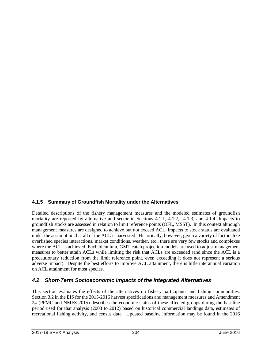### **4.1.5 Summary of Groundfish Mortality under the Alternatives**

Detailed descriptions of the fishery management measures and the modeled estimates of groundfish mortality are reported by alternative and sector in Sections 4.1.1, 4.1.2, 4.1.3, and 4.1.4. Impacts to groundfish stocks are assessed in relation to limit reference points (OFL, MSST). In this context although management measures are designed to achieve but not exceed ACL, impacts to stock status are evaluated under the assumption that all of the ACL is harvested. Historically, however, given a variety of factors like overfished species interactions, market conditions, weather, etc., there are very few stocks and complexes where the ACL is achieved. Each biennium, GMT catch projection models are used to adjust management measures to better attain ACLs while limiting the risk that ACLs are exceeded (and since the ACL is a precautionary reduction from the limit reference point, even exceeding it does not represent a serious adverse impact). Despite the best efforts to improve ACL attainment, there is little interannual variation on ACL attainment for most species.

# *4.2 Short-Term Socioeconomic Impacts of the Integrated Alternatives*

This section evaluates the effects of the alternatives on fishery participants and fishing communities. Section 3.2 in the EIS for the 2015-2016 harvest specifications and management measures and Amendment 24 (PFMC and NMFS 2015) describes the economic status of these affected groups during the baseline period used for that analysis (2003 to 2012) based on historical commercial landings data, estimates of recreational fishing activity, and census data. Updated baseline information may be found in the 2016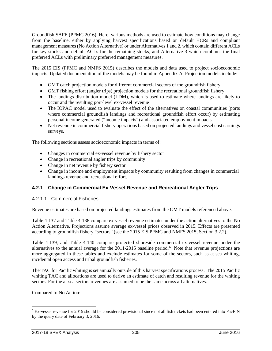Groundfish SAFE (PFMC 2016). Here, various methods are used to estimate how conditions may change from the baseline, either by applying harvest specifications based on default HCRs and compliant management measures (No Action Alternative) or under Alternatives 1 and 2, which contain different ACLs for key stocks and default ACLs for the remaining stocks, and Alternative 3 which combines the final preferred ACLs with preliminary preferred management measures.

The 2015 EIS (PFMC and NMFS 2015) describes the models and data used to project socioeconomic impacts. Updated documentation of the models may be found in Appendix A. Projection models include:

- GMT catch projection models for different commercial sectors of the groundfish fishery
- GMT fishing effort (angler trips) projection models for the recreational groundfish fishery
- The landings distribution model (LDM), which is used to estimate where landings are likely to occur and the resulting port-level ex-vessel revenue
- The IOPAC model used to evaluate the effect of the alternatives on coastal communities (ports where commercial groundfish landings and recreational groundfish effort occur) by estimating personal income generated ("income impacts") and associated employment impacts
- Net revenue in commercial fishery operations based on projected landings and vessel cost earnings surveys.

The following sections assess socioeconomic impacts in terms of:

- Changes in commercial ex-vessel revenue by fishery sector
- Change in recreational angler trips by community
- Change in net revenue by fishery sector
- Change in income and employment impacts by community resulting from changes in commercial landings revenue and recreational effort.

# **4.2.1 Change in Commercial Ex-Vessel Revenue and Recreational Angler Trips**

### <span id="page-2-1"></span>4.2.1.1 Commercial Fisheries

Revenue estimates are based on projected landings estimates from the GMT models referenced above.

[Table 4-137](#page-5-0) and [Table 4-138](#page-6-0) compare ex-vessel revenue estimates under the action alternatives to the No Action Alternative. Projections assume average ex-vessel prices observed in 2015. Effects are presented according to groundfish fishery "sectors" (see the 2015 EIS PFMC and NMFS 2015, Section 3.2.2).

[Table 4-139,](#page-6-1) and [Table 4-140](#page-7-0) compare projected shoreside commercial ex-vessel revenue under the alternatives to the annual average for the 2011-2015 baseline period.<sup>[6](#page-2-0)</sup> Note that revenue projections are more aggregated in these tables and exclude estimates for some of the sectors, such as at-sea whiting, incidental open access and tribal groundfish fisheries.

The TAC for Pacific whiting is set annually outside of this harvest specifications process. The 2015 Pacific whiting TAC and allocations are used to derive an estimate of catch and resulting revenue for the whiting sectors. For the at-sea sectors revenues are assumed to be the same across all alternatives.

Compared to No Action:

<span id="page-2-0"></span> <sup>6</sup> Ex-vessel revenue for 2015 should be considered provisional since not all fish tickets had been entered into PacFIN by the query date of February 3, 2016.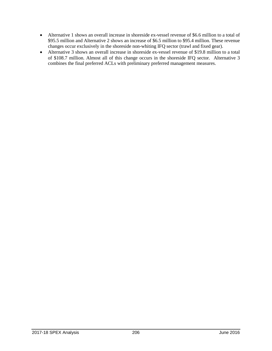- Alternative 1 shows an overall increase in shoreside ex-vessel revenue of \$6.6 million to a total of \$95.5 million and Alternative 2 shows an increase of \$6.5 million to \$95.4 million. These revenue changes occur exclusively in the shoreside non-whiting IFQ sector (trawl and fixed gear).
- <span id="page-3-0"></span>• Alternative 3 shows an overall increase in shoreside ex-vessel revenue of \$19.8 million to a total of \$108.7 million. Almost all of this change occurs in the shoreside IFQ sector. Alternative 3 combines the final preferred ACLs with preliminary preferred management measures.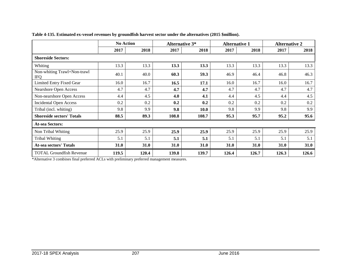|                                           | <b>No Action</b> |       |       | <b>Alternative 3*</b> |       | <b>Alternative 1</b> | <b>Alternative 2</b> |       |  |  |
|-------------------------------------------|------------------|-------|-------|-----------------------|-------|----------------------|----------------------|-------|--|--|
|                                           | 2017             | 2018  | 2017  | 2018                  | 2017  | 2018                 | 2017                 | 2018  |  |  |
| <b>Shoreside Sectors:</b>                 |                  |       |       |                       |       |                      |                      |       |  |  |
| Whiting                                   | 13.3             | 13.3  | 13.3  | 13.3                  | 13.3  | 13.3                 | 13.3                 | 13.3  |  |  |
| Non-whiting Trawl+Non-trawl<br><b>IFQ</b> | 40.1             | 40.0  | 60.3  | 59.3                  | 46.9  | 46.4                 | 46.8                 | 46.3  |  |  |
| Limited Entry Fixed Gear                  | 16.0             | 16.7  | 16.5  | 17.1                  | 16.0  | 16.7                 | 16.0                 | 16.7  |  |  |
| Nearshore Open Access                     | 4.7              | 4.7   | 4.7   | 4.7                   | 4.7   | 4.7                  | 4.7                  | 4.7   |  |  |
| Non-nearshore Open Access                 | 4.4              | 4.5   | 4.0   | 4.1                   | 4.4   | 4.5                  | 4.4                  | 4.5   |  |  |
| <b>Incidental Open Access</b>             | 0.2              | 0.2   | 0.2   | 0.2                   | 0.2   | 0.2                  | 0.2                  | 0.2   |  |  |
| Tribal (incl. whiting)                    | 9.8              | 9.9   | 9.8   | 10.0                  | 9.8   | 9.9                  | 9.8                  | 9.9   |  |  |
| <b>Shoreside sectors' Totals</b>          | 88.5             | 89.3  | 108.8 | 108.7                 | 95.3  | 95.7                 | 95.2                 | 95.6  |  |  |
| <b>At-sea Sectors:</b>                    |                  |       |       |                       |       |                      |                      |       |  |  |
| Non Tribal Whiting                        | 25.9             | 25.9  | 25.9  | 25.9                  | 25.9  | 25.9                 | 25.9                 | 25.9  |  |  |
| <b>Tribal Whiting</b>                     | 5.1              | 5.1   | 5.1   | 5.1                   | 5.1   | 5.1                  | 5.1                  | 5.1   |  |  |
| At-sea sectors' Totals                    | 31.0             | 31.0  | 31.0  | 31.0                  | 31.0  | 31.0                 | 31.0                 | 31.0  |  |  |
| <b>TOTAL Groundfish Revenue</b>           | 119.5            | 120.4 | 139.8 | 139.7                 | 126.4 | 126.7                | 126.3                | 126.6 |  |  |

**Table 4-135. Estimated ex-vessel revenues by groundfish harvest sector under the alternatives (2015 \$million).**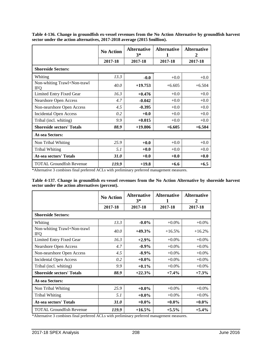|                                           | <b>No Action</b> | <b>Alternative</b><br>$3*$ | <b>Alternative</b><br>1 | <b>Alternative</b><br>2 |
|-------------------------------------------|------------------|----------------------------|-------------------------|-------------------------|
|                                           | 2017-18          | 2017-18                    | 2017-18                 | 2017-18                 |
| <b>Shoreside Sectors:</b>                 |                  |                            |                         |                         |
| Whiting                                   | 13.3             | $-0.0$                     | $+0.0$                  | $+0.0$                  |
| Non-whiting Trawl+Non-trawl<br><b>IFQ</b> | 40.0             | $+19.753$                  | $+6.605$                | $+6.504$                |
| Limited Entry Fixed Gear                  | 16.3             | $+0.476$                   | $+0.0$                  | $+0.0$                  |
| Nearshore Open Access                     | 4.7              | $-0.042$                   | $+0.0$                  | $+0.0$                  |
| Non-nearshore Open Access                 | 4.5              | $-0.395$                   | $+0.0$                  | $+0.0$                  |
| <b>Incidental Open Access</b>             | 0.2              | $+0.0$                     | $+0.0$                  | $+0.0$                  |
| Tribal (incl. whiting)                    | 9.9              | $+0.015$                   | $+0.0$                  | $+0.0$                  |
| <b>Shoreside sectors' Totals</b>          | 88.9             | $+19.806$                  | $+6.605$                | $+6.504$                |
| <b>At-sea Sectors:</b>                    |                  |                            |                         |                         |
| Non Tribal Whiting                        | 25.9             | $+0.0$                     | $+0.0$                  | $+0.0$                  |
| <b>Tribal Whiting</b>                     | 5.1              | $+0.0$                     | $+0.0$                  | $+0.0$                  |
| <b>At-sea sectors' Totals</b>             | <b>31.0</b>      | $+0.0$                     | $+0.0$                  | $+0.0$                  |
| <b>TOTAL Groundfish Revenue</b>           | 119.9            | $+19.8$                    | $+6.6$                  | $+6.5$                  |

**Table 4-136. Change in groundfish ex-vessel revenues from the No Action Alternative by groundfish harvest sector under the action alternatives, 2017-2018 average (2015 \$million).**

\*Alternative 3 combines final preferred ACLs with preliminary preferred management measures.

<span id="page-5-0"></span>

|                                                 |  |  |  | Table 4-137. Change in groundfish ex-vessel revenues from the No Action Alternative by shoreside harvest |  |
|-------------------------------------------------|--|--|--|----------------------------------------------------------------------------------------------------------|--|
| sector under the action alternatives (percent). |  |  |  |                                                                                                          |  |

|                                           | <b>No Action</b> | <b>Alternative</b><br>$3*$ | <b>Alternative</b><br>1 | <b>Alternative</b><br>2 |  |
|-------------------------------------------|------------------|----------------------------|-------------------------|-------------------------|--|
|                                           | 2017-18          | 2017-18                    | 2017-18                 | 2017-18                 |  |
| <b>Shoreside Sectors:</b>                 |                  |                            |                         |                         |  |
| Whiting                                   | 13.3             | $-0.0\%$                   | $+0.0\%$                | $+0.0\%$                |  |
| Non-whiting Trawl+Non-trawl<br><b>IFQ</b> | 40.0             | $+49.3\%$                  | $+16.5%$                | $+16.2%$                |  |
| Limited Entry Fixed Gear                  | 16.3             | $+2.9%$                    | $+0.0\%$                | $+0.0\%$                |  |
| <b>Nearshore Open Access</b>              | 4.7              | $-0.9\%$                   | $+0.0\%$                | $+0.0\%$                |  |
| Non-nearshore Open Access                 | 4.5              | $-8.9\%$                   | $+0.0\%$                | $+0.0\%$                |  |
| <b>Incidental Open Access</b>             | 0.2              | $+0.0\%$                   | $+0.0\%$                | $+0.0\%$                |  |
| Tribal (incl. whiting)                    | 9.9              | $+0.1\%$                   | $+0.0\%$                | $+0.0\%$                |  |
| <b>Shoreside sectors' Totals</b>          | 88.9             | $+22.3%$                   | $+7.4%$                 | $+7.3%$                 |  |
| <b>At-sea Sectors:</b>                    |                  |                            |                         |                         |  |
| Non Tribal Whiting                        | 25.9             | $+0.0\%$                   | $+0.0\%$                | $+0.0\%$                |  |
| <b>Tribal Whiting</b>                     | 5.1              | $+0.0\%$                   | $+0.0\%$                | $+0.0\%$                |  |
| <b>At-sea sectors' Totals</b>             | <b>31.0</b>      | $+0.0\%$                   | $+0.0\%$                | $+0.0\%$                |  |
| <b>TOTAL Groundfish Revenue</b>           | 119.9            | $+16.5%$                   | $+5.5\%$                | $+5.4%$                 |  |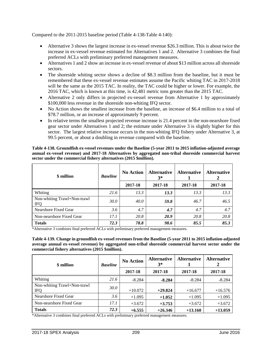Compared to the 2011-2015 baseline period [\(Table 4-138](#page-6-0)[-Table 4-140\)](#page-7-0):

- Alternative 3 shows the largest increase in ex-vessel revenue \$26.3 million. This is about twice the increase in ex-vessel revenue estimated for Alternatives 1 and 2. Alternative 3 combines the final preferred ACLs with preliminary preferred management measures.
- Alternatives 1 and 2 show an increase in ex-vessel revenue of about \$13 million across all shoreside sectors.
- The shoreside whiting sector shows a decline of \$8.3 million from the baseline, but it must be remembered that these ex-vessel revenue estimates assume the Pacific whiting TAC in 2017-2018 will be the same as the 2015 TAC. In reality, the TAC could be higher or lower. For example, the 2016 TAC, which is known at this time, is 42,481 metric tons greater than the 2015 TAC.
- Alternative 2 only differs in projected ex-vessel revenue from Alternative 1 by approximately \$100,000 less revenue in the shoreside non-whiting IFQ sector.
- No Action shows the smallest increase from the baseline, an increase of \$6.4 million to a total of \$78.7 million, or an increase of approximately 9 percent.
- In relative terms the smallest projected revenue increase is 21.4 percent in the non-nearshore fixed gear sector under Alternatives 1 and 2; the estimate under Alternative 3 is slightly higher for this sector. The largest relative increase occurs in the non-whiting IFQ fishery under Alternative 3, at 99.5 percent, or about a doubling in revenue compared with the baseline.

<span id="page-6-0"></span>**Table 4-138. Groundfish ex-vessel revenues under the Baseline (5-year 2011 to 2015 inflation-adjusted average annual ex-vessel revenue) and 2017-18 Alternatives by aggregated non-tribal shoreside commercial harvest sector under the commercial fishery alternatives (2015 \$million).**

| \$ million                                | <b>Baseline</b> | <b>No Action</b> | <b>Alternative</b><br>$3^*$ | <b>Alternative</b> | <b>Alternative</b> |
|-------------------------------------------|-----------------|------------------|-----------------------------|--------------------|--------------------|
|                                           |                 | 2017-18          | 2017-18                     | 2017-18            | 2017-18            |
| Whiting                                   | 21.6            | 13.3             | 13.3                        | 13.3               | 13.3               |
| Non-whiting Trawl+Non-trawl<br><b>IFQ</b> | <i>30.0</i>     | 40.0             | 59.8                        | 46.7               | 46.5               |
| Nearshore Fixed Gear                      | 3.6             | 4.7              | 4.7                         | 4.7                | 4.7                |
| Non-nearshore Fixed Gear                  | 17.1            | 20.8             | 20.9                        | 20.8               | 20.8               |
| <b>Totals</b>                             | 72.3            | 78.8             | 98.6                        | 85.5               | 85.3               |

\*Alternative 3 combines final preferred ACLs with preliminary preferred management measures.

<span id="page-6-1"></span>**Table 4-139. Change in groundfish ex-vessel revenues from the Baseline (5-year 2011 to 2015 inflation-adjusted average annual ex-vessel revenue) by aggregated non-tribal shoreside commercial harvest sector under the commercial fishery alternatives (2015 \$million).**

| \$ million                                | <b>Baseline</b> | <b>No Action</b> | <b>Alternative</b><br>$3*$ | <b>Alternative</b> | <b>Alternative</b> |
|-------------------------------------------|-----------------|------------------|----------------------------|--------------------|--------------------|
|                                           |                 | 2017-18          | 2017-18                    | 2017-18            | 2017-18            |
| Whiting                                   | 21.6            | $-8.284$         | $-8.284$                   | $-8.284$           | $-8.284$           |
| Non-whiting Trawl+Non-trawl<br><b>IFQ</b> | <i>30.0</i>     | $+10.072$        | $+29.824$                  | $+16.677$          | $+16.576$          |
| Nearshore Fixed Gear                      | 3.6             | $+1.095$         | $+1.052$                   | $+1.095$           | $+1.095$           |
| Non-nearshore Fixed Gear                  | 17.1            | $+3.672$         | $+3.753$                   | $+3.672$           | $+3.672$           |
| <b>Totals</b>                             | 72.3            | $+6.555$         | $+26.346$                  | $+13.160$          | $+13.059$          |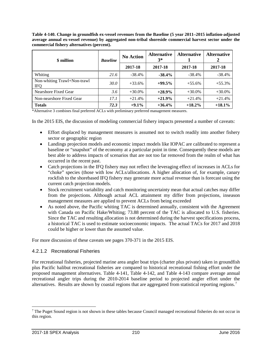<span id="page-7-0"></span>**Table 4-140. Change in groundfish ex-vessel revenues from the Baseline (5 year 2011–2015 inflation-adjusted average annual ex-vessel revenue) by aggregated non-tribal shoreside commercial harvest sector under the commercial fishery alternatives (percent).**

| \$ million                                | <b>Baseline</b> | <b>No Action</b> | <b>Alternative</b><br>$3^*$ | <b>Alternative</b> | <b>Alternative</b> |
|-------------------------------------------|-----------------|------------------|-----------------------------|--------------------|--------------------|
|                                           |                 | 2017-18          | 2017-18                     | 2017-18            | 2017-18            |
| Whiting                                   | 21.6            | $-38.4\%$        | $-38.4%$                    | $-38.4%$           | $-38.4%$           |
| Non-whiting Trawl+Non-trawl<br><b>IFQ</b> | <i>30.0</i>     | $+33.6%$         | $+99.5%$                    | $+55.6%$           | $+55.3%$           |
| Nearshore Fixed Gear                      | 3.6             | $+30.0\%$        | $+28.9\%$                   | $+30.0\%$          | $+30.0%$           |
| Non-nearshore Fixed Gear                  | 17.1            | $+21.4%$         | $+21.9%$                    | $+21.4%$           | $+21.4%$           |
| <b>Totals</b>                             | 72.3            | $+9.1\%$         | $+36.4%$                    | $+18.2\%$          | $+18.1%$           |

In the 2015 EIS, the discussion of modeling commercial fishery impacts presented a number of caveats:

- Effort displaced by management measures is assumed not to switch readily into another fishery sector or geographic region
- Landings projection models and economic impact models like IOPAC are calibrated to represent a baseline or "snapshot" of the economy at a particular point in time. Consequently these models are best able to address impacts of scenarios that are not too far removed from the realm of what has occurred in the recent past.
- Catch projections in the IFQ fishery may not reflect the leveraging effect of increases in ACLs for "choke" species (those with low ACLs/allocations. A higher allocation of, for example, canary rockfish to the shorebased IFQ fishery may generate more actual revenue than is forecast using the current catch projection models.
- Stock recruitment variability and catch monitoring uncertainty mean that actual catches may differ from the projections. Although actual ACL attainment my differ from projections, inseason management measures are applied to prevent ACLs from being exceeded
- As noted above, the Pacific whiting TAC is determined annually, consistent with the Agreement with Canada on Pacific Hake/Whiting; 73.88 percent of the TAC is allocated to U.S. fisheries. Since the TAC and resulting allocation is not determined during the harvest specifications process, a historical TAC is used to estimate socioeconomic impacts. The actual TACs for 2017 and 2018 could be higher or lower than the assumed value.

For more discussion of these caveats see pages 370-371 in the 2015 EIS.

#### 4.2.1.2 Recreational Fisheries

For recreational fisheries, projected marine area angler boat trips (charter plus private) taken in groundfish plus Pacific halibut recreational fisheries are compared to historical recreational fishing effort under the proposed management alternatives. [Table 4-141,](#page-10-0) [Table 4-142,](#page-11-0) and [Table 4-143](#page-12-0) compare average annual recreational angler trips during the 2010-2014 baseline period to projected angler effort under the alternatives. Results are shown by coastal regions that are aggregated from statistical reporting regions.<sup>[7](#page-7-1)</sup>

<span id="page-7-1"></span> $<sup>7</sup>$  The Puget Sound region is not shown in these tables because Council managed recreational fisheries do not occur in</sup> this region.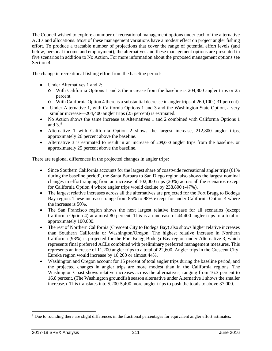The Council wished to explore a number of recreational management options under each of the alternative ACLs and allocations. Most of these management variations have a modest effect on project angler fishing effort. To produce a tractable number of projections that cover the range of potential effort levels (and below, personal income and employment), the alternatives and these management options are presented in five scenarios in addition to No Action. For more information about the proposed management options see Section 4.

The change in recreational fishing effort from the baseline period:

- Under Alternatives 1 and 2:
	- o With California Options 1 and 3 the increase from the baseline is 204,800 angler trips or 25 percent.
	- o With California Option 4 there is a substantial decrease in angler trips of 260,100 (-31 percent).
- Under Alternative 1, with California Options 1 and 3 and the Washington State Option, a very similar increase—204,400 angler trips (25 percent) is estimated.
- No Action shows the same increase as Alternatives 1 and 2 combined with California Options 1 and  $3<sup>8</sup>$  $3<sup>8</sup>$  $3<sup>8</sup>$
- Alternative 1 with California Option 2 shows the largest increase, 212,800 angler trips, approximately 26 percent above the baseline.
- Alternative 3 is estimated to result in an increase of 209,000 angler trips from the baseline, or approximately 25 percent above the baseline.

There are regional differences in the projected changes in angler trips:

- Since Southern California accounts for the largest share of coastwide recreational angler trips (61%) during the baseline period), the Santa Barbara to San Diego region also shows the largest nominal changes in effort ranging from an increase of 102,000 trips (20%) across all the scenarios except for California Option 4 where angler trips would decline by 238,800 (-47%).
- The largest relative increases across all the alternatives are projected for the Fort Bragg to Bodega Bay region. These increases range from 85% to 98% except for under California Option 4 where the increase is 50%.
- The San Francisco region shows the next largest relative increase for all scenarios (except California Option 4) at almost 80 percent. This is an increase of 44,400 angler trips to a total of approximately 100,000.
- The rest of Northern California (Crescent City to Bodega Bay) also shows higher relative increases than Southern California or Washington/Oregon. The highest relative increase in Northern California (98%) is projected for the Fort Bragg-Bodega Bay region under Alternative 3, which represents final preferred ACLs combined with preliminary preferred management measures. This represents an increase of 11,200 angler trips to a total of 22,600. Angler trips in the Crescent City-Eureka region would increase by 10,200 or almost 44%.
- Washington and Oregon account for 15 percent of total angler trips during the baseline period, and the projected changes in angler trips are more modest than in the California regions. The Washington Coast shows relative increases across the alternatives, ranging from 16.3 percent to 16.8 percent. (The Washington groundfish season alternative under Alternative 1 shows the smaller increase.) This translates into 5,200-5,400 more angler trips to push the totals to above 37,000.

<span id="page-8-0"></span> <sup>8</sup> Due to rounding there are slight differences in the fractional percentages for equivalent angler effort estimates.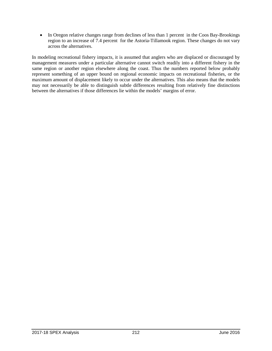• In Oregon relative changes range from declines of less than 1 percent in the Coos Bay-Brookings region to an increase of 7.4 percent for the Astoria-Tillamook region. These changes do not vary across the alternatives.

In modeling recreational fishery impacts, it is assumed that anglers who are displaced or discouraged by management measures under a particular alternative cannot switch readily into a different fishery in the same region or another region elsewhere along the coast. Thus the numbers reported below probably represent something of an upper bound on regional economic impacts on recreational fisheries, or the maximum amount of displacement likely to occur under the alternatives. This also means that the models may not necessarily be able to distinguish subtle differences resulting from relatively fine distinctions between the alternatives if those differences lie within the models' margins of error.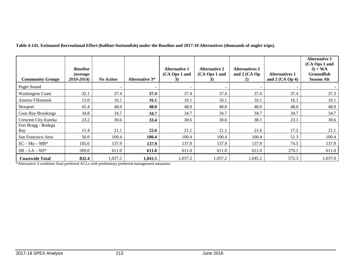**Table 4-141. Estimated Recreational Effort (halibut+bottomfish) under the Baseline and 2017-18 Alternatives (thousands of angler trips).**

<span id="page-10-0"></span>

| <b>Community Groups</b>           | <b>Baseline</b><br><i>(average)</i><br>2010-2014) | <b>No Action</b> | <b>Alternative 3*</b>    | <b>Alternative 1</b><br>(CA Ops 1 and<br>3) | Alternative 2<br>(CA Ops 1 and<br><b>3</b> ) | <b>Alternatives 1</b><br>and $2$ (CA Op<br>2) | <b>Alternatives 1</b><br>and $2$ (CA Op 4) | <b>Alternative 1</b><br>(CA Ops 1 and<br>$3) + WA$<br><b>Groundfish</b><br><b>Season Alt</b> |
|-----------------------------------|---------------------------------------------------|------------------|--------------------------|---------------------------------------------|----------------------------------------------|-----------------------------------------------|--------------------------------------------|----------------------------------------------------------------------------------------------|
| <b>Puget Sound</b>                |                                                   |                  | $\overline{\phantom{0}}$ |                                             |                                              |                                               |                                            |                                                                                              |
| <b>Washington Coast</b>           | 32.1                                              | 37.4             | 37.4                     | 37.4                                        | 37.4                                         | 37.4                                          | 37.4                                       | 37.3                                                                                         |
| Astoria-Tillamook                 | 15.0                                              | 16.1             | 16.1                     | 16.1                                        | 16.1                                         | 16.1                                          | 16.1                                       | 16.1                                                                                         |
| Newport                           | 45.4                                              | 48.0             | 48.0                     | 48.0                                        | 48.0                                         | 48.0                                          | 48.0                                       | 48.0                                                                                         |
| Coos Bay-Brookings                | 34.8                                              | 34.7             | 34.7                     | 34.7                                        | 34.7                                         | 34.7                                          | 34.7                                       | 34.7                                                                                         |
| Crescent City-Eureka              | 23.2                                              | 30.6             | 33.4                     | 30.6                                        | 30.6                                         | 38.1                                          | 23.1                                       | 30.6                                                                                         |
| Fort Bragg - Bodega<br><b>Bay</b> | 11.4                                              | 21.1             | 22.6                     | 21.1                                        | 21.1                                         | 21.6                                          | 17.2                                       | 21.1                                                                                         |
| San Francisco Area                | 56.0                                              | 100.4            | 100.4                    | 100.4                                       | 100.4                                        | 100.4                                         | 51.3                                       | 100.4                                                                                        |
| $SC - Mo - MB^*$                  | 105.6                                             | 137.9            | 137.9                    | 137.9                                       | 137.9                                        | 137.9                                         | 74.5                                       | 137.9                                                                                        |
| $SB - LA - SD^*$                  | 509.0                                             | 611.0            | 611.0                    | 611.0                                       | 611.0                                        | 611.0                                         | 270.1                                      | 611.0                                                                                        |
| <b>Coastwide Total</b>            | 832.4                                             | 1,037.2          | 1,041.5                  | 1,037.2                                     | 1,037.2                                      | 1,045.2                                       | 572.3                                      | 1,037.0                                                                                      |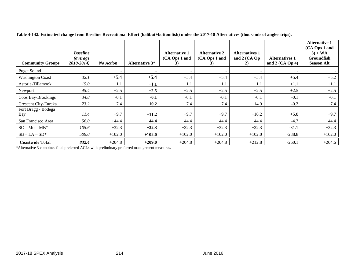<span id="page-11-0"></span>

| <b>Community Groups</b>    | <b>Baseline</b><br><i>(average)</i><br>2010-2014) | <b>No Action</b> | <b>Alternative 3*</b>    | <b>Alternative 1</b><br>(CA Ops 1 and<br>3) | <b>Alternative 2</b><br>(CA Ops 1 and<br><b>3</b> ) | <b>Alternatives 1</b><br>and 2 (CA Op<br>2) | <b>Alternatives 1</b><br>and $2$ (CA Op 4) | <b>Alternative 1</b><br>(CA Ops 1 and<br>$3) + WA$<br><b>Groundfish</b><br><b>Season Alt</b> |
|----------------------------|---------------------------------------------------|------------------|--------------------------|---------------------------------------------|-----------------------------------------------------|---------------------------------------------|--------------------------------------------|----------------------------------------------------------------------------------------------|
| <b>Puget Sound</b>         |                                                   | $\sim$           | $\overline{\phantom{0}}$ |                                             |                                                     |                                             |                                            |                                                                                              |
| <b>Washington Coast</b>    | 32.1                                              | $+5.4$           | $+5.4$                   | $+5.4$                                      | $+5.4$                                              | $+5.4$                                      | $+5.4$                                     | $+5.2$                                                                                       |
| Astoria-Tillamook          | 15.0                                              | $+1.1$           | $+1.1$                   | $+1.1$                                      | $+1.1$                                              | $+1.1$                                      | $+1.1$                                     | $+1.1$                                                                                       |
| Newport                    | 45.4                                              | $+2.5$           | $+2.5$                   | $+2.5$                                      | $+2.5$                                              | $+2.5$                                      | $+2.5$                                     | $+2.5$                                                                                       |
| Coos Bay-Brookings         | 34.8                                              | $-0.1$           | $-0.1$                   | $-0.1$                                      | $-0.1$                                              | $-0.1$                                      | $-0.1$                                     | $-0.1$                                                                                       |
| Crescent City-Eureka       | 23.2                                              | $+7.4$           | $+10.2$                  | $+7.4$                                      | $+7.4$                                              | $+14.9$                                     | $-0.2$                                     | $+7.4$                                                                                       |
| Fort Bragg - Bodega<br>Bay | 11.4                                              | $+9.7$           | $+11.2$                  | $+9.7$                                      | $+9.7$                                              | $+10.2$                                     | $+5.8$                                     | $+9.7$                                                                                       |
| San Francisco Area         | 56.0                                              | $+44.4$          | $+44.4$                  | $+44.4$                                     | $+44.4$                                             | $+44.4$                                     | $-4.7$                                     | $+44.4$                                                                                      |
| $SC - Mo - MB^*$           | 105.6                                             | $+32.3$          | $+32.3$                  | $+32.3$                                     | $+32.3$                                             | $+32.3$                                     | $-31.1$                                    | $+32.3$                                                                                      |
| $SB - LA - SD^*$           | 509.0                                             | $+102.0$         | $+102.0$                 | $+102.0$                                    | $+102.0$                                            | $+102.0$                                    | $-238.8$                                   | $+102.0$                                                                                     |
| <b>Coastwide Total</b>     | 832.4                                             | $+204.8$         | $+209.0$                 | $+204.8$                                    | $+204.8$                                            | $+212.8$                                    | $-260.1$                                   | $+204.6$                                                                                     |

**Table 4-142. Estimated change from Baseline Recreational Effort (halibut+bottomfish) under the 2017-18 Alternatives (thousands of angler trips).**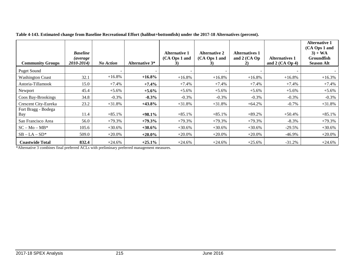<span id="page-12-0"></span>

|                            | <b>Baseline</b><br><i>(average)</i> |                  |                       | Alternative 1<br>(CA Ops 1 and | <b>Alternative 2</b><br>(CA Ops 1 and | <b>Alternatives 1</b><br>and 2 (CA Op | <b>Alternatives 1</b> | <b>Alternative 1</b><br>(CA Ops 1 and<br>$3) + WA$<br><b>Groundfish</b> |
|----------------------------|-------------------------------------|------------------|-----------------------|--------------------------------|---------------------------------------|---------------------------------------|-----------------------|-------------------------------------------------------------------------|
| <b>Community Groups</b>    | 2010-2014)                          | <b>No Action</b> | <b>Alternative 3*</b> | 3)                             | <b>3</b> )                            | 2)                                    | and $2$ (CA Op 4)     | <b>Season Alt</b>                                                       |
| <b>Puget Sound</b>         |                                     |                  |                       |                                |                                       |                                       |                       |                                                                         |
| <b>Washington Coast</b>    | 32.1                                | $+16.8\%$        | $+16.8\%$             | $+16.8%$                       | $+16.8\%$                             | $+16.8%$                              | $+16.8%$              | $+16.3%$                                                                |
| Astoria-Tillamook          | 15.0                                | $+7.4%$          | $+7.4%$               | $+7.4%$                        | $+7.4%$                               | $+7.4%$                               | $+7.4%$               | $+7.4%$                                                                 |
| Newport                    | 45.4                                | $+5.6\%$         | $+5.6\%$              | $+5.6%$                        | $+5.6%$                               | $+5.6%$                               | $+5.6%$               | $+5.6%$                                                                 |
| Coos Bay-Brookings         | 34.8                                | $-0.3\%$         | $-0.3%$               | $-0.3\%$                       | $-0.3\%$                              | $-0.3\%$                              | $-0.3\%$              | $-0.3\%$                                                                |
| Crescent City-Eureka       | 23.2                                | $+31.8%$         | $+43.8%$              | $+31.8%$                       | $+31.8%$                              | $+64.2%$                              | $-0.7%$               | $+31.8%$                                                                |
| Fort Bragg - Bodega<br>Bay | 11.4                                | $+85.1%$         | $+98.1\%$             | $+85.1%$                       | $+85.1%$                              | $+89.2%$                              | $+50.4\%$             | $+85.1%$                                                                |
| San Francisco Area         | 56.0                                | $+79.3%$         | $+79.3%$              | $+79.3%$                       | $+79.3%$                              | $+79.3%$                              | $-8.3%$               | $+79.3%$                                                                |
| $SC - Mo - MB^*$           | 105.6                               | $+30.6%$         | $+30.6\%$             | $+30.6%$                       | $+30.6%$                              | $+30.6%$                              | $-29.5%$              | $+30.6%$                                                                |
| $SB - LA - SD^*$           | 509.0                               | $+20.0\%$        | $+20.0\%$             | $+20.0\%$                      | $+20.0\%$                             | $+20.0\%$                             | $-46.9%$              | $+20.0\%$                                                               |
| <b>Coastwide Total</b>     | 832.4                               | $+24.6%$         | $+25.1\%$             | $+24.6%$                       | $+24.6%$                              | $+25.6%$                              | $-31.2%$              | $+24.6%$                                                                |

**Table 4-143. Estimated change from Baseline Recreational Effort (halibut+bottomfish) under the 2017-18 Alternatives (percent).**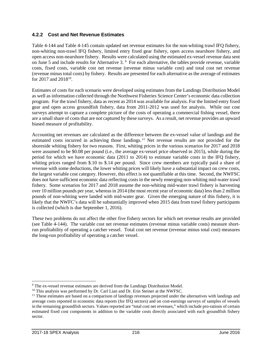### **4.2.2 Cost and Net Revenue Estimates**

[Table 4-144](#page-14-0) an[d Table 4-145](#page-14-1) contain updated net revenue estimates for the non-whiting trawl IFQ fishery, non-whiting non-trawl IFQ fishery, limited entry fixed gear fishery, open access nearshore fishery, and open access non-nearshore fishery. Results were calculated using the estimated ex-vessel revenue data sent on June 5 and include results for Alternative 3.<sup>[9](#page-13-0)</sup> For each alternative, the tables provide revenue, variable costs, fixed costs, variable cost net revenue (revenue minus variable cost) and total cost net revenue (revenue minus total costs) by fishery. Results are presented for each alternative as the average of estimates for 2017 and  $2018^{10}$ .

Estimates of costs for each scenario were developed using estimates from the Landings Distribution Model as well as information collected through the Northwest Fisheries Science Center's economic data collection program. For the trawl fishery, data as recent as 2014 was available for analysis. For the limited entry fixed gear and open access groundfish fishery, data from 2011-2012 was used for analysis. While our cost surveys attempt to capture a complete picture of the costs of operating a commercial fishing vessel, there are a small share of costs that are not captured by these surveys. As a result, net revenue provides an upward biased measure of profitability.

Accounting net revenues are calculated as the difference between the ex-vessel value of landings and the estimated costs incurred in achieving those landings.<sup>[11](#page-13-2)</sup> Net revenue results are not provided for the shoreside whiting fishery for two reasons. First, whiting prices in the various scenarios for 2017 and 2018 were assumed to be \$0.08 per pound (i.e., the average ex-vessel price observed in 2015), while during the period for which we have economic data (2011 to 2014) to estimate variable costs in the IFQ fishery, whiting prices ranged from \$.10 to \$.14 per pound. Since crew members are typically paid a share of revenue with some deductions, the lower whiting prices will likely have a substantial impact on crew costs, the largest variable cost category. However, this effect is not quantifiable at this time. Second, the NWFSC does not have sufficient economic data reflecting costs in the newly emerging non-whiting mid-water trawl fishery. Some scenarios for 2017 and 2018 assume the non-whiting mid-water trawl fishery is harvesting over 10 million pounds per year, whereas in 2014 (the most recent year of economic data) less than 2 million pounds of non-whiting were landed with mid-water gear. Given the emerging nature of this fishery, it is likely that the NWFC's data will be substantially improved when 2015 data from trawl fishery participants is collected (which is due September 1, 2016).

These two problems do not affect the other five fishery sectors for which net revenue results are provided (see [Table 4-144\)](#page-14-0). The variable cost net revenue estimates (revenue minus variable costs) measure shortrun profitability of operating a catcher vessel. Total cost net revenue (revenue minus total cost) measures the long-run profitability of operating a catcher vessel.

<span id="page-13-0"></span> <sup>9</sup> The ex-vessel revenue estimates are derived from the Landings Distribution Model.

<span id="page-13-1"></span><sup>&</sup>lt;sup>10</sup> This analysis was performed by Dr. Carl Lian and Dr. Erin Steiner at the NWFSC.

<span id="page-13-2"></span> $<sup>11</sup>$  These estimates are based on a comparison of landings revenues projected under the alternatives with landings and</sup> average costs reported in economic data reports (for IFQ sectors) and on cost-earnings surveys of samples of vessels in the remaining groundfish sectors. Values reported are "total cost net revenues," which include pro-rations of certain estimated fixed cost components in addition to the variable costs directly associated with each groundfish fishery sector.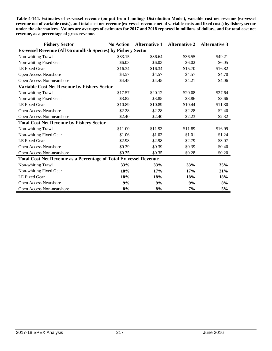<span id="page-14-0"></span>**Table 4-144. Estimates of ex-vessel revenue (output from Landings Distribution Model), variable cost net revenue (ex-vessel revenue net of variable costs), and total cost net revenue (ex-vessel revenue net of variable costs and fixed costs) by fishery sector under the alternatives. Values are averages of estimates for 2017 and 2018 reported in millions of dollars, and for total cost net revenue, as a percentage of gross revenue.**

<span id="page-14-1"></span>

| <b>Fishery Sector</b>                                                    | <b>No Action</b> | <b>Alternative 1</b> | <b>Alternative 2</b> | <b>Alternative 3</b> |
|--------------------------------------------------------------------------|------------------|----------------------|----------------------|----------------------|
| <b>Ex-vessel Revenue (All Groundfish Species) by Fishery Sector</b>      |                  |                      |                      |                      |
| Non-whiting Trawl                                                        | \$33.15          | \$36.64              | \$36.55              | \$49.21              |
| Non-whiting Fixed Gear                                                   | \$6.03           | \$6.03               | \$6.02               | \$6.05               |
| LE Fixed Gear                                                            | \$16.34          | \$16.34              | \$15.70              | \$16.82              |
| Open Access Nearshore                                                    | \$4.57           | \$4.57               | \$4.57               | \$4.70               |
| Open Access Non-nearshore                                                | \$4.45           | \$4.45               | \$4.21               | \$4.06               |
| <b>Variable Cost Net Revenue by Fishery Sector</b>                       |                  |                      |                      |                      |
| Non-whiting Trawl                                                        | \$17.57          | \$20.12              | \$20.08              | \$27.64              |
| Non-whiting Fixed Gear                                                   | \$3.82           | \$3.85               | \$3.86               | \$3.66               |
| LE Fixed Gear                                                            | \$10.89          | \$10.89              | \$10.44              | \$11.30              |
| Open Access Nearshore                                                    | \$2.28           | \$2.28               | \$2.28               | \$2.40               |
| Open Access Non-nearshore                                                | \$2.40           | \$2.40               | \$2.23               | \$2.32               |
| <b>Total Cost Net Revenue by Fishery Sector</b>                          |                  |                      |                      |                      |
| Non-whiting Trawl                                                        | \$11.00          | \$11.93              | \$11.89              | \$16.99              |
| Non-whiting Fixed Gear                                                   | \$1.06           | \$1.03               | \$1.01               | \$1.24               |
| LE Fixed Gear                                                            | \$2.98           | \$2.98               | \$2.79               | \$3.07               |
| Open Access Nearshore                                                    | \$0.39           | \$0.39               | \$0.39               | \$0.40               |
| Open Access Non-nearshore                                                | \$0.35           | \$0.35               | \$0.28               | \$0.20               |
| <b>Total Cost Net Revenue as a Percentage of Total Ex-vessel Revenue</b> |                  |                      |                      |                      |
| Non-whiting Trawl                                                        | 33%              | 33%                  | 33%                  | 35%                  |
| Non-whiting Fixed Gear                                                   | 18%              | 17%                  | 17%                  | 21%                  |
| LE Fixed Gear                                                            | 18%              | 18%                  | 18%                  | 18%                  |
| Open Access Nearshore                                                    | 9%               | 9%                   | 9%                   | 8%                   |
| Open Access Non-nearshore                                                | 8%               | 8%                   | 7%                   | 5%                   |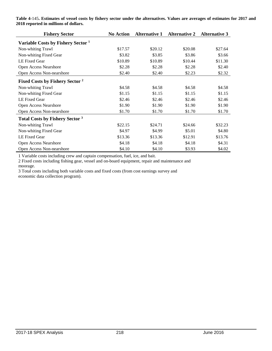| <b>Fishery Sector</b>                         | <b>No Action</b> | <b>Alternative 1</b> | <b>Alternative 2</b> | <b>Alternative 3</b> |
|-----------------------------------------------|------------------|----------------------|----------------------|----------------------|
| Variable Costs by Fishery Sector <sup>1</sup> |                  |                      |                      |                      |
| Non-whiting Trawl                             | \$17.57          | \$20.12              | \$20.08              | \$27.64              |
| Non-whiting Fixed Gear                        | \$3.82           | \$3.85               | \$3.86               | \$3.66               |
| LE Fixed Gear                                 | \$10.89          | \$10.89              | \$10.44              | \$11.30              |
| Open Access Nearshore                         | \$2.28           | \$2.28               | \$2.28               | \$2.40               |
| Open Access Non-nearshore                     | \$2.40           | \$2.40               | \$2.23               | \$2.32               |
| Fixed Costs by Fishery Sector <sup>2</sup>    |                  |                      |                      |                      |
| Non-whiting Trawl                             | \$4.58           | \$4.58               | \$4.58               | \$4.58               |
| Non-whiting Fixed Gear                        | \$1.15           | \$1.15               | \$1.15               | \$1.15               |
| LE Fixed Gear                                 | \$2.46           | \$2.46               | \$2.46               | \$2.46               |
| Open Access Nearshore                         | \$1.90           | \$1.90               | \$1.90               | \$1.90               |
| Open Access Non-nearshore                     | \$1.70           | \$1.70               | \$1.70               | \$1.70               |
| <b>Total Costs by Fishery Sector 3</b>        |                  |                      |                      |                      |
| Non-whiting Trawl                             | \$22.15          | \$24.71              | \$24.66              | \$32.23              |
| Non-whiting Fixed Gear                        | \$4.97           | \$4.99               | \$5.01               | \$4.80               |
| LE Fixed Gear                                 | \$13.36          | \$13.36              | \$12.91              | \$13.76              |
| Open Access Nearshore                         | \$4.18           | \$4.18               | \$4.18               | \$4.31               |
| Open Access Non-nearshore                     | \$4.10           | \$4.10               | \$3.93               | \$4.02               |

**Table 4-**145**. Estimates of vessel costs by fishery sector under the alternatives. Values are averages of estimates for 2017 and 2018 reported in millions of dollars.**

1 Variable costs including crew and captain compensation, fuel, ice, and bait.

2 Fixed costs including fishing gear, vessel and on-board equipment, repair and maintenance and moorage.

3 Total costs including both variable costs and fixed costs (from cost earnings survey and economic data collection program).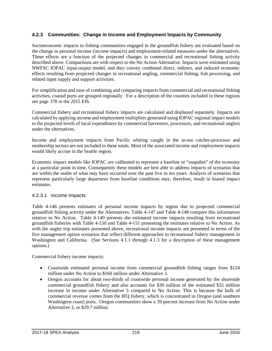## **4.2.3 Communities: Change in Income and Employment Impacts by Community**

Socioeconomic impacts to fishing communities engaged in the groundfish fishery are evaluated based on the change in personal income (income impacts) and employment-related measures under the alternatives. These effects are a function of the projected changes in commercial and recreational fishing activity described above. Comparisons are with respect to the No Action Alternative. Impacts were estimated using NWFSC IOPAC input-output model, and they convey combined direct, indirect, and induced economic effects resulting from projected changes in recreational angling, commercial fishing, fish processing, and related input supply and support activities.

For simplification and ease of combining and comparing impacts from commercial and recreational fishing activities, coastal ports are grouped regionally. For a description of the counties included in these regions see page 378 in the 2015 EIS.

Commercial fishery and recreational fishery impacts are calculated and displayed separately. Impacts are calculated by applying income and employment multipliers generated using IOPAC regional impact models to the projected levels of local expenditures by commercial harvesters, processors, and recreational anglers under the alternatives.

Income and employment impacts from Pacific whiting caught in the at-sea catcher-processor and mothership sectors are not included in these totals. Most of the associated income and employment impacts would likely accrue in the Seattle region.

Economic impact models like IOPAC are calibrated to represent a baseline or "snapshot" of the economy at a particular point in time. Consequently these models are best able to address impacts of scenarios that are within the realm of what may have occurred over the past five to ten years. Analysis of scenarios that represent particularly large departures from baseline conditions may, therefore, result in biased impact estimates.

#### 4.2.3.1 Income Impacts

[Table 4-146](#page-17-0) presents estimates of personal income impacts by region due to projected commercial groundfish fishing activity under the Alternatives. [Table 4-147](#page-19-0) and [Table 4-148](#page-19-1) compare this information relative to No Action. [Table 4-149](#page-21-0) presents the estimated income impacts resulting from recreational groundfish fisheries with [Table 4-150](#page-21-1) and [Table 4-151](#page-22-0) presenting the estimates relative to No Action. As with the angler trip estimates presented above, recreational income impacts are presented in terms of the five management option scenarios that reflect different approaches to recreational fishery management in Washington and California. (See Sections 4.1.1 through 4.1.3 for a description of these management options.)

Commercial fishery income impacts:

- Coastwide estimated personal income from commercial groundfish fishing ranges from \$124 million under No Action to \$160 million under Alternative 3.
- Oregon accounts for about two-thirds of coastwide personal income generated by the shoreside commercial groundfish fishery and also accounts for \$30 million of the estimated \$35 million increase in income under Alternative 3 compared to No Action. This is because the bulk of commercial revenue comes from the IFQ fishery, which is concentrated in Oregon (and southern Washington coast) ports. Oregon communities show a 39 percent increase from No Action under Alternative 3, or \$29.7 million.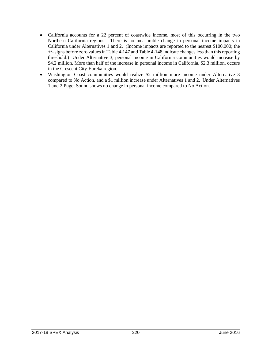- California accounts for a 22 percent of coastwide income, most of this occurring in the two Northern California regions. There is no measurable change in personal income impacts in California under Alternatives 1 and 2. (Income impacts are reported to the nearest \$100,000; the +/-signs before zero values in [Table 4-147](#page-19-0) an[d Table 4-148](#page-19-1) indicate changes less than this reporting threshold.) Under Alternative 3, personal income in California communities would increase by \$4.2 million. More than half of the increase in personal income in California, \$2.3 million, occurs in the Crescent City-Eureka region.
- <span id="page-17-0"></span>• Washington Coast communities would realize \$2 million more income under Alternative 3 compared to No Action, and a \$1 million increase under Alternatives 1 and 2. Under Alternatives 1 and 2 Puget Sound shows no change in personal income compared to No Action.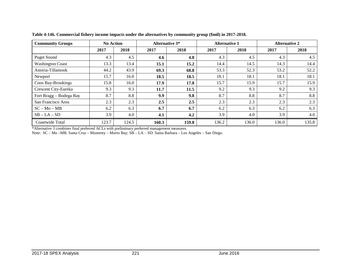| <b>Community Groups</b> | <b>No Action</b> |       | <b>Alternative 3*</b> |       | <b>Alternative 1</b> |       | <b>Alternative 2</b> |       |
|-------------------------|------------------|-------|-----------------------|-------|----------------------|-------|----------------------|-------|
|                         | 2017             | 2018  | 2017                  | 2018  | 2017                 | 2018  | 2017                 | 2018  |
| <b>Puget Sound</b>      | 4.3              | 4.5   | 4.6                   | 4.8   | 4.3                  | 4.5   | 4.3                  | 4.5   |
| <b>Washington Coast</b> | 13.3             | 13.4  | 15.1                  | 15.2  | 14.4                 | 14.5  | 14.3                 | 14.4  |
| Astoria-Tillamook       | 44.2             | 43.9  | 69.3                  | 68.8  | 53.3                 | 52.3  | 53.2                 | 52.2  |
| Newport                 | 15.7             | 16.0  | 18.5                  | 18.5  | 18.1                 | 18.1  | 18.1                 | 18.1  |
| Coos Bay-Brookings      | 15.8             | 16.0  | 17.9                  | 17.8  | 15.7                 | 15.9  | 15.7                 | 15.9  |
| Crescent City-Eureka    | 9.3              | 9.3   | 11.7                  | 11.5  | 9.2                  | 9.3   | 9.2                  | 9.3   |
| Fort Bragg - Bodega Bay | 8.7              | 8.8   | 9.9                   | 9.8   | 8.7                  | 8.8   | 8.7                  | 8.8   |
| San Francisco Area      | 2.3              | 2.3   | 2.5                   | 2.5   | 2.3                  | 2.3   | 2.3                  | 2.3   |
| $SC - Mo - MB$          | 6.2              | 6.3   | 6.7                   | 6.7   | 6.2                  | 6.3   | 6.2                  | 6.3   |
| $SB - LA - SD$          | 3.9              | 4.0   | 4.1                   | 4.2   | 3.9                  | 4.0   | 3.9                  | 4.0   |
| Coastwide Total         | 123.7            | 124.5 | 160.3                 | 159.8 | 136.2                | 136.0 | 136.0                | 135.8 |

**Table 4-146. Commercial fishery income impacts under the alternatives by community group (\$mil) in 2017-2018.**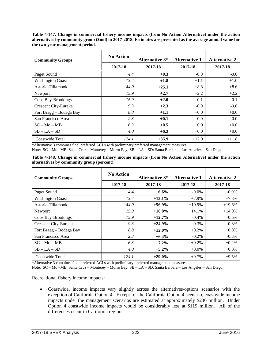<span id="page-19-0"></span>**Table 4-147. Change in commercial fishery income impacts (from No Action Alternative) under the action alternatives by community group (\$mil) in 2017-2018. Estimates are presented as the average annual value for the two-year management period.**

| <b>Community Groups</b> | <b>No Action</b> | <b>Alternative 3*</b> | <b>Alternative 1</b> | <b>Alternative 2</b> |
|-------------------------|------------------|-----------------------|----------------------|----------------------|
|                         | 2017-18          | 2017-18               | 2017-18              | 2017-18              |
| <b>Puget Sound</b>      | 4.4              | $+0.3$                | $-0.0$               | $-0.0$               |
| <b>Washington Coast</b> | 13.4             | $+1.8$                | $+1.1$               | $+1.0$               |
| Astoria-Tillamook       | 44.0             | $+25.1$               | $+8.8$               | $+8.6$               |
| Newport                 | 15.9             | $+2.7$                | $+2.2$               | $+2.2$               |
| Coos Bay-Brookings      | 15.9             | $+2.0$                | $-0.1$               | $-0.1$               |
| Crescent City-Eureka    | 9.3              | $+2.3$                | $-0.0$               | $-0.0$               |
| Fort Bragg - Bodega Bay | 8.8              | $+1.1$                | $+0.0$               | $+0.0$               |
| San Francisco Area      | 2.3              | $+0.1$                | $-0.0$               | $-0.0$               |
| $SC - Mo - MB$          | 6.3              | $+0.5$                | $+0.0$               | $+0.0$               |
| $SB - LA - SD$          | 4.0              | $+0.2$                | $+0.0$               | $+0.0$               |
| Coastwide Total         | 124.1            | $+35.9$               | $+12.0$              | $+11.8$              |

Note: SC – Mo –MB: Santa Cruz – Monterey – Morro Bay; SB – LA – SD: Santa Barbara – Los Angeles – San Diego.

<span id="page-19-1"></span>

| Table 4-148. Change in commercial fishery income impacts (from No Action Alternative) under the action |  |  |  |  |
|--------------------------------------------------------------------------------------------------------|--|--|--|--|
| alternatives by community group (percent).                                                             |  |  |  |  |

| <b>Community Groups</b> | <b>No Action</b> | <b>Alternative 3*</b> | <b>Alternative 1</b> | <b>Alternative 2</b> |
|-------------------------|------------------|-----------------------|----------------------|----------------------|
|                         | 2017-18          | 2017-18               | 2017-18              | 2017-18              |
| <b>Puget Sound</b>      | 4.4              | $+6.6\%$              | $-0.0\%$             | $-0.0\%$             |
| <b>Washington Coast</b> | 13.4             | $+13.1%$              | $+7.9\%$             | $+7.8%$              |
| Astoria-Tillamook       | 44.0             | $+56.9%$              | $+19.9\%$            | $+19.6%$             |
| Newport                 | 15.9             | $+16.8\%$             | $+14.1%$             | $+14.0%$             |
| Coos Bay-Brookings      | 15.9             | $+12.7%$              | $-0.4\%$             | $-0.6\%$             |
| Crescent City-Eureka    | 9.3              | $+24.9%$              | $-0.3\%$             | $-0.3\%$             |
| Fort Bragg - Bodega Bay | 8.8              | $+12.0\%$             | $+0.2\%$             | $+0.0\%$             |
| San Francisco Area      | 2.3              | $+6.4\%$              | $-0.2\%$             | $-0.3\%$             |
| $SC - Mo - MB$          | 6.3              | $+7.2%$               | $+0.2\%$             | $+0.2\%$             |
| $SB - LA - SD$          | 4.0              | $+5.2\%$              | $+0.0\%$             | $+0.0\%$             |
| Coastwide Total         | 124.1            | $+29.0%$              | $+9.7%$              | $+9.5%$              |

\*Alternative 3 combines final preferred ACLs with preliminary preferred management measures.

Note: SC – Mo –MB: Santa Cruz – Monterey – Morro Bay; SB – LA – SD: Santa Barbara – Los Angeles – San Diego.

Recreational fishery income impacts:

• Coastwide, income impacts vary slightly across the alternatives/options scenarios with the exception of California Option 4. Except for the California Option 4 scenario, coastwide income impacts under the management scenarios are estimated at approximately \$236 million. Under Option 4 coastwide income impacts would be considerably less at \$119 million. All of the differences occur in California regions.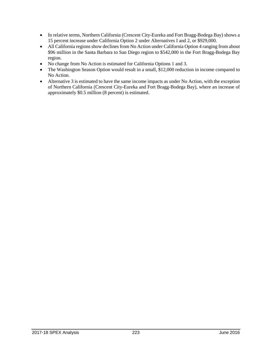- In relative terms, Northern California (Crescent City-Eureka and Fort Bragg-Bodega Bay) shows a 15 percent increase under California Option 2 under Alternatives I and 2, or \$929,000.
- All California regions show declines from No Action under California Option 4 ranging from about \$96 million in the Santa Barbara to San Diego region to \$542,000 in the Fort Bragg-Bodega Bay region.
- No change from No Action is estimated for California Options 1 and 3.
- The Washington Season Option would result in a small, \$12,000 reduction in income compared to No Action.
- Alternative 3 is estimated to have the same income impacts as under No Action, with the exception of Northern California (Crescent City-Eureka and Fort Bragg-Bodega Bay), where an increase of approximately \$0.5 million (8 percent) is estimated.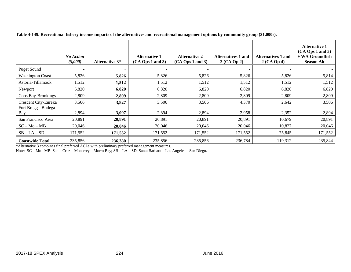|                            | <b>No Action</b><br>$($ \$,000 $)$ | <b>Alternative 3*</b> | <b>Alternative 1</b><br>$(CA$ Ops 1 and 3) | <b>Alternative 2</b><br>$(CA$ Ops 1 and 3) | Alternatives 1 and<br>$2(CA$ Op 2) | <b>Alternatives 1 and</b><br>$2(CA$ Op 4) | <b>Alternative 1</b><br>$(CA$ Ops 1 and 3)<br>+ WA Groundfish<br><b>Season Alt</b> |
|----------------------------|------------------------------------|-----------------------|--------------------------------------------|--------------------------------------------|------------------------------------|-------------------------------------------|------------------------------------------------------------------------------------|
| Puget Sound                |                                    |                       |                                            |                                            |                                    |                                           |                                                                                    |
| <b>Washington Coast</b>    | 5,826                              | 5,826                 | 5,826                                      | 5,826                                      | 5,826                              | 5,826                                     | 5,814                                                                              |
| Astoria-Tillamook          | 1,512                              | 1,512                 | 1,512                                      | 1,512                                      | 1,512                              | 1,512                                     | 1,512                                                                              |
| Newport                    | 6,820                              | 6,820                 | 6,820                                      | 6,820                                      | 6,820                              | 6,820                                     | 6,820                                                                              |
| Coos Bay-Brookings         | 2,809                              | 2,809                 | 2,809                                      | 2,809                                      | 2,809                              | 2,809                                     | 2,809                                                                              |
| Crescent City-Eureka       | 3,506                              | 3,827                 | 3,506                                      | 3,506                                      | 4,370                              | 2,642                                     | 3,506                                                                              |
| Fort Bragg - Bodega<br>Bay | 2,894                              | 3,097                 | 2,894                                      | 2,894                                      | 2,958                              | 2,352                                     | 2,894                                                                              |
| San Francisco Area         | 20,891                             | 20,891                | 20,891                                     | 20.891                                     | 20,891                             | 10,679                                    | 20,891                                                                             |
| $SC - Mo - MB$             | 20,046                             | 20,046                | 20,046                                     | 20,046                                     | 20,046                             | 10,827                                    | 20,046                                                                             |
| $SB - LA - SD$             | 171,552                            | 171,552               | 171,552                                    | 171,552                                    | 171,552                            | 75,845                                    | 171,552                                                                            |
| <b>Coastwide Total</b>     | 235,856                            | 236,380               | 235,856                                    | 235,856                                    | 236,784                            | 119,312                                   | 235,844                                                                            |

**Table 4-149. Recreational fishery income impacts of the alternatives and recreational management options by community group (\$1,000s).**

<span id="page-21-1"></span><span id="page-21-0"></span>\*Alternative 3 combines final preferred ACLs with preliminary preferred management measures.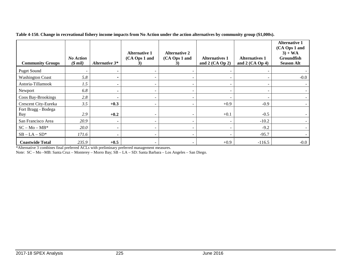| <b>Community Groups</b> | <b>No Action</b><br>$$$ mil) | Alternative 3*           | <b>Alternative 1</b><br>(CA Ops 1 and<br>3) | <b>Alternative 2</b><br>(CA Ops 1 and<br>3) | <b>Alternatives 1</b><br>and $2$ (CA Op 2) | <b>Alternatives 1</b><br>and $2$ (CA Op 4) | <b>Alternative 1</b><br>(CA Ops 1 and<br>$3) + WA$<br>Groundfish<br><b>Season Alt</b> |
|-------------------------|------------------------------|--------------------------|---------------------------------------------|---------------------------------------------|--------------------------------------------|--------------------------------------------|---------------------------------------------------------------------------------------|
| <b>Puget Sound</b>      |                              | ۰                        |                                             |                                             |                                            |                                            |                                                                                       |
| <b>Washington Coast</b> | 5.8                          | $\overline{\phantom{0}}$ | $\overline{\phantom{a}}$                    |                                             |                                            | ۰                                          | $-0.0$                                                                                |
| Astoria-Tillamook       | 1.5                          | ٠                        |                                             |                                             |                                            |                                            |                                                                                       |
| Newport                 | 6.8                          | ۰                        |                                             |                                             |                                            |                                            |                                                                                       |
| Coos Bay-Brookings      | 2.8                          |                          |                                             |                                             |                                            |                                            |                                                                                       |
| Crescent City-Eureka    | 3.5                          | $+0.3$                   |                                             |                                             | $+0.9$                                     | $-0.9$                                     |                                                                                       |
| Fort Bragg - Bodega     |                              |                          |                                             |                                             |                                            |                                            |                                                                                       |
| Bay                     | 2.9                          | $+0.2$                   |                                             |                                             | $+0.1$                                     | $-0.5$                                     |                                                                                       |
| San Francisco Area      | 20.9                         | ۰                        |                                             |                                             |                                            | $-10.2$                                    |                                                                                       |
| $SC - Mo - MB^*$        | 20.0                         | ۰.                       | $\overline{\phantom{0}}$                    |                                             |                                            | $-9.2$                                     |                                                                                       |
| $SB - LA - SD^*$        | 171.6                        |                          |                                             |                                             |                                            | $-95.7$                                    |                                                                                       |
| <b>Coastwide Total</b>  | 235.9                        | $+0.5$                   | $\sim$                                      |                                             | $+0.9$                                     | $-116.5$                                   | $-0.0$                                                                                |

**Table 4-150. Change in recreational fishery income impacts from No Action under the action alternatives by community group (\$1,000s).**

<span id="page-22-0"></span>\*Alternative 3 combines final preferred ACLs with preliminary preferred management measures.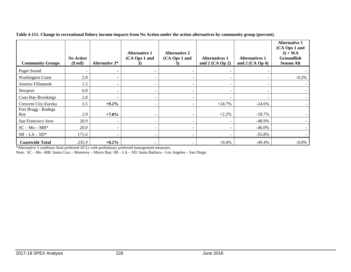| <b>Community Groups</b>    | <b>No Action</b><br>$$$ mil) | Alternative 3* | <b>Alternative 1</b><br>(CA Ops 1 and<br>3) | <b>Alternative 2</b><br>(CA Ops 1 and<br>3) | <b>Alternatives 1</b><br>and $2$ (CA Op 2) | <b>Alternatives 1</b><br>and $2$ (CA Op 4) | <b>Alternative 1</b><br>(CA Ops 1 and<br>$3) + WA$<br><b>Groundfish</b><br><b>Season Alt</b> |
|----------------------------|------------------------------|----------------|---------------------------------------------|---------------------------------------------|--------------------------------------------|--------------------------------------------|----------------------------------------------------------------------------------------------|
| <b>Puget Sound</b>         |                              |                |                                             |                                             |                                            |                                            |                                                                                              |
| <b>Washington Coast</b>    | 5.8                          | -              | $\overline{\phantom{a}}$                    |                                             |                                            |                                            | $-0.2%$                                                                                      |
| Astoria-Tillamook          | 1.5                          |                |                                             |                                             |                                            |                                            |                                                                                              |
| Newport                    | 6.8                          |                |                                             |                                             |                                            |                                            |                                                                                              |
| Coos Bay-Brookings         | 2.8                          |                |                                             |                                             |                                            |                                            |                                                                                              |
| Crescent City-Eureka       | 3.5                          | $+9.2%$        |                                             |                                             | $+24.7%$                                   | $-24.6%$                                   |                                                                                              |
| Fort Bragg - Bodega<br>Bay | 2.9                          | $+7.0%$        |                                             |                                             | $+2.2%$                                    | $-18.7\%$                                  |                                                                                              |
| San Francisco Area         | 20.9                         |                |                                             |                                             |                                            | $-48.9\%$                                  |                                                                                              |
| $SC - Mo - MB^*$           | 20.0                         | ۰.             |                                             |                                             |                                            | $-46.0\%$                                  |                                                                                              |
| $SB - LA - SD^*$           | 171.6                        |                |                                             |                                             |                                            | $-55.8\%$                                  |                                                                                              |
| <b>Coastwide Total</b>     | 235.9                        | $+0.2\%$       |                                             |                                             | $+0.4\%$                                   | $-49.4\%$                                  | $-0.0\%$                                                                                     |

**Table 4-151. Change in recreational fishery income impacts from No Action under the action alternatives by community group (percent).**

\*Alternative 3 combines final preferred ACLs with preliminary preferred management measures.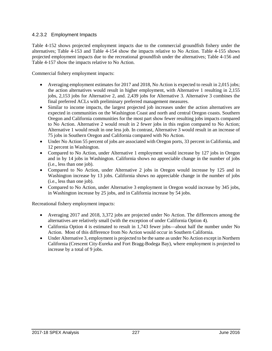### 4.2.3.2 Employment Impacts

[Table 4-152](#page-25-0) shows projected employment impacts due to the commercial groundfish fishery under the alternatives; [Table 4-153](#page-26-0) and [Table 4-154](#page-26-1) show the impacts relative to No Action. [Table 4-155](#page-27-0) shows projected employment impacts due to the recreational groundfish under the alternatives; [Table 4-156](#page-28-0) and [Table 4-157](#page-29-0) show the impacts relative to No Action.

Commercial fishery employment impacts:

- Averaging employment estimates for 2017 and 2018, No Action is expected to result in 2,015 jobs; the action alternatives would result in higher employment, with Alternative 1 resulting in 2,155 jobs, 2,153 jobs for Alternative 2, and. 2,439 jobs for Alternative 3. Alternative 3 combines the final preferred ACLs with preliminary preferred management measures.
- Similar to income impacts, the largest projected job increases under the action alternatives are expected in communities on the Washington Coast and north and central Oregon coasts. Southern Oregon and California communities for the most part show fewer resulting jobs impacts compared to No Action. Alternative 2 would result in 2 fewer jobs in this region compared to No Action; Alternative 1 would result in one less job. In contrast, Alternative 3 would result in an increase of 75 jobs in Southern Oregon and California compared with No Action.
- Under No Action 55 percent of jobs are associated with Oregon ports, 33 percent in California, and 12 percent in Washington.
- Compared to No Action, under Alternative 1 employment would increase by 127 jobs in Oregon and in by 14 jobs in Washington. California shows no appreciable change in the number of jobs (i.e., less than one job).
- Compared to No Action, under Alternative 2 jobs in Oregon would increase by 125 and in Washington increase by 13 jobs. California shows no appreciable change in the number of jobs (i.e., less than one job).
- Compared to No Action, under Alternative 3 employment in Oregon would increase by 345 jobs, in Washington increase by 25 jobs, and in California increase by 54 jobs.

Recreational fishery employment impacts:

- Averaging 2017 and 2018, 3,372 jobs are projected under No Action. The differences among the alternatives are relatively small (with the exception of under California Option 4).
- California Option 4 is estimated to result in 1,743 fewer jobs—about half the number under No Action. Most of this difference from No Action would occur in Southern California.
- Under Alternative 3, employment is projected to be the same as under No Action except in Northern California (Crescent City-Eureka and Fort Bragg-Bodega Bay), where employment is projected to increase by a total of 9 jobs.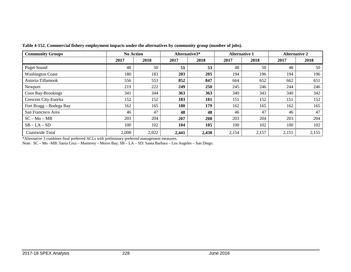<span id="page-25-0"></span>

| <b>Community Groups</b> | <b>No Action</b> |       | Alternative3* |       | <b>Alternative 1</b> |       | <b>Alternative 2</b> |       |
|-------------------------|------------------|-------|---------------|-------|----------------------|-------|----------------------|-------|
|                         | 2017             | 2018  | 2017          | 2018  | 2017                 | 2018  | 2017                 | 2018  |
| <b>Puget Sound</b>      | 48               | 50    | 51            | 53    | 48                   | 50    | 48                   | 50    |
| <b>Washington Coast</b> | 180              | 183   | 203           | 205   | 194                  | 196   | 194                  | 196   |
| Astoria-Tillamook       | 556              | 553   | 852           | 847   | 664                  | 652   | 662                  | 651   |
| Newport                 | 219              | 222   | 249           | 250   | 245                  | 246   | 244                  | 246   |
| Coos Bay-Brookings      | 341              | 344   | 363           | 363   | 340                  | 343   | 340                  | 342   |
| Crescent City-Eureka    | 152              | 152   | 183           | 181   | 151                  | 152   | 151                  | 152   |
| Fort Bragg - Bodega Bay | 162              | 165   | 180           | 179   | 162                  | 165   | 162                  | 165   |
| San Francisco Area      | 46               | 47    | 48            | 48    | 46                   | 47    | 46                   | 47    |
| $SC - Mo - MB$          | 203              | 204   | 207           | 208   | 203                  | 204   | 203                  | 204   |
| $SB - LA - SD$          | 100              | 102   | 104           | 105   | 100                  | 102   | 100                  | 102   |
| Coastwide Total         | 2,008            | 2,022 | 2,441         | 2,438 | 2,154                | 2,157 | 2,151                | 2,155 |

**Table 4-152. Commercial fishery employment impacts under the alternatives by community group (number of jobs).**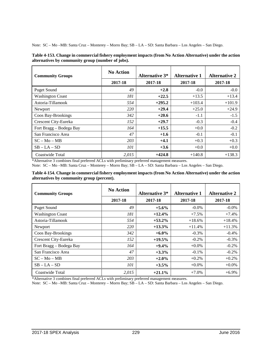Note: SC – Mo –MB: Santa Cruz – Monterey – Morro Bay; SB – LA – SD: Santa Barbara – Los Angeles – San Diego.

<span id="page-26-0"></span>

| Table 4-153. Change in commercial fishery employment impacts (from No Action Alternative) under the action |  |
|------------------------------------------------------------------------------------------------------------|--|
| alternatives by community group (number of jobs).                                                          |  |

| <b>Community Groups</b> | <b>No Action</b> | <b>Alternative 3*</b> | <b>Alternative 1</b> | <b>Alternative 2</b> |
|-------------------------|------------------|-----------------------|----------------------|----------------------|
|                         | 2017-18          | 2017-18               | 2017-18              | 2017-18              |
| <b>Puget Sound</b>      | 49               | $+2.8$                | $-0.0$               | $-0.0$               |
| <b>Washington Coast</b> | 181              | $+22.5$               | $+13.5$              | $+13.4$              |
| Astoria-Tillamook       | 554              | $+295.2$              | $+103.4$             | $+101.9$             |
| Newport                 | 220              | $+29.4$               | $+25.0$              | $+24.9$              |
| Coos Bay-Brookings      | 342              | $+20.6$               | $-1.1$               | $-1.5$               |
| Crescent City-Eureka    | 152              | $+29.7$               | $-0.3$               | $-0.4$               |
| Fort Bragg - Bodega Bay | 164              | $+15.5$               | $+0.0$               | $-0.2$               |
| San Francisco Area      | 47               | $+1.6$                | $-0.1$               | $-0.1$               |
| $SC - Mo - MB$          | 203              | $+4.1$                | $+0.3$               | $+0.3$               |
| $SB - LA - SD$          | 101              | $+3.6$                | $+0.0$               | $+0.0$               |
| Coastwide Total         | 2,015            | $+424.8$              | $+140.8$             | $+138.3$             |

\*Alternative 3 combines final preferred ACLs with preliminary preferred management measures. Note: SC – Mo –MB: Santa Cruz – Monterey – Morro Bay; SB – LA – SD: Santa Barbara – Los Angeles – San Diego.

<span id="page-26-1"></span>**Table 4-154. Change in commercial fishery employment impacts (from No Action Alternative) under the action alternatives by community group (percent).**

| <b>Community Groups</b> | <b>No Action</b> | <b>Alternative 3*</b> | <b>Alternative 1</b> | <b>Alternative 2</b> |
|-------------------------|------------------|-----------------------|----------------------|----------------------|
|                         | 2017-18          | 2017-18               | 2017-18              | 2017-18              |
| <b>Puget Sound</b>      | 49               | $+5.6\%$              | $-0.0\%$             | $-0.0\%$             |
| <b>Washington Coast</b> | 181              | $+12.4%$              | $+7.5%$              | $+7.4%$              |
| Astoria-Tillamook       | 554              | $+53.2%$              | $+18.6%$             | $+18.4%$             |
| Newport                 | 220              | $+13.3%$              | $+11.4%$             | $+11.3%$             |
| Coos Bay-Brookings      | 342              | $+6.0\%$              | $-0.3%$              | $-0.4%$              |
| Crescent City-Eureka    | 152              | $+19.5%$              | $-0.2\%$             | $-0.3\%$             |
| Fort Bragg - Bodega Bay | 164              | $+9.4%$               | $+0.0\%$             | $-0.2%$              |
| San Francisco Area      | 47               | $+3.3%$               | $-0.1\%$             | $-0.2\%$             |
| $SC - Mo - MB$          | 203              | $+2.0\%$              | $+0.2\%$             | $+0.2%$              |
| $SB - LA - SD$          | 101              | $+3.5%$               | $+0.0\%$             | $+0.0\%$             |
| Coastwide Total         | 2,015            | $+21.1%$              | $+7.0%$              | $+6.9%$              |

\*Alternative 3 combines final preferred ACLs with preliminary preferred management measures.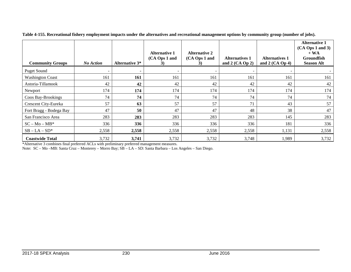| <b>Community Groups</b> | <b>No Action</b> | <b>Alternative 3*</b> | <b>Alternative 1</b><br>(CA Ops 1 and<br>3) | <b>Alternative 2</b><br>(CA Ops 1 and<br>3) | <b>Alternatives 1</b><br>and $2$ (CA Op 2) | <b>Alternatives 1</b><br>and $2$ (CA Op 4) | <b>Alternative 1</b><br>$(CA$ Ops 1 and 3)<br>$+ WA$<br><b>Groundfish</b><br><b>Season Alt</b> |
|-------------------------|------------------|-----------------------|---------------------------------------------|---------------------------------------------|--------------------------------------------|--------------------------------------------|------------------------------------------------------------------------------------------------|
| <b>Puget Sound</b>      |                  | ٠                     |                                             | $\overline{\phantom{a}}$                    |                                            | $\overline{\phantom{a}}$                   |                                                                                                |
| <b>Washington Coast</b> | 161              | 161                   | 161                                         | 161                                         | 161                                        | 161                                        | 161                                                                                            |
| Astoria-Tillamook       | 42               | 42                    | 42                                          | 42                                          | 42                                         | 42                                         | 42                                                                                             |
| Newport                 | 174              | 174                   | 174                                         | 174                                         | 174                                        | 174                                        | 174                                                                                            |
| Coos Bay-Brookings      | 74               | 74                    | 74                                          | 74                                          | 74                                         | 74                                         | 74                                                                                             |
| Crescent City-Eureka    | 57               | 63                    | 57                                          | 57                                          | 71                                         | 43                                         | 57                                                                                             |
| Fort Bragg - Bodega Bay | 47               | 50                    | 47                                          | 47                                          | 48                                         | 38                                         | 47                                                                                             |
| San Francisco Area      | 283              | 283                   | 283                                         | 283                                         | 283                                        | 145                                        | 283                                                                                            |
| $SC - Mo - MB^*$        | 336              | 336                   | 336                                         | 336                                         | 336                                        | 181                                        | 336                                                                                            |
| $SB - LA - SD^*$        | 2,558            | 2,558                 | 2,558                                       | 2,558                                       | 2,558                                      | 1,131                                      | 2,558                                                                                          |
| <b>Coastwide Total</b>  | 3,732            | 3,741                 | 3,732                                       | 3,732                                       | 3,748                                      | 1,989                                      | 3,732                                                                                          |

**Table 4-155. Recreational fishery employment impacts under the alternatives and recreational management options by community group (number of jobs).**

<span id="page-27-0"></span>\*Alternative 3 combines final preferred ACLs with preliminary preferred management measures.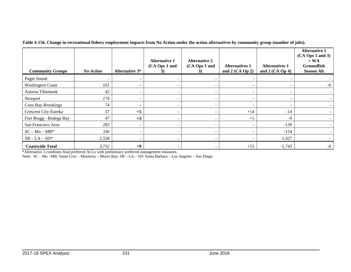| <b>Community Groups</b> | <b>No Action</b> | <b>Alternative 3*</b> | <b>Alternative 1</b><br>(CA Ops 1 and<br>3) | <b>Alternative 2</b><br>(CA Ops 1 and<br>3) | <b>Alternatives 1</b><br>and $2$ (CA Op 2) | <b>Alternatives 1</b><br>and $2$ (CA Op 4) | <b>Alternative 1</b><br>$(CA$ Ops 1 and 3)<br>$+ WA$<br>Groundfish<br><b>Season Alt</b> |
|-------------------------|------------------|-----------------------|---------------------------------------------|---------------------------------------------|--------------------------------------------|--------------------------------------------|-----------------------------------------------------------------------------------------|
| <b>Puget Sound</b>      |                  | ۰                     |                                             |                                             |                                            |                                            |                                                                                         |
| <b>Washington Coast</b> | 161              | $\blacksquare$        | -                                           |                                             |                                            |                                            | $-0$                                                                                    |
| Astoria-Tillamook       | 42               | ۰                     | -                                           |                                             | $\overline{\phantom{a}}$                   | $\overline{\phantom{a}}$                   |                                                                                         |
| Newport                 | 174              | ٠                     | ۰                                           |                                             | $\overline{\phantom{a}}$                   |                                            |                                                                                         |
| Coos Bay-Brookings      | 74               | $\blacksquare$        | $\overline{\phantom{0}}$                    |                                             | $\overline{\phantom{a}}$                   | $\overline{\phantom{a}}$                   |                                                                                         |
| Crescent City-Eureka    | 57               | $+5$                  | ۰                                           |                                             | $+14$                                      | $-14$                                      |                                                                                         |
| Fort Bragg - Bodega Bay | 47               | $+3$                  |                                             |                                             | $+1$                                       | $-9$                                       |                                                                                         |
| San Francisco Area      | 283              | ۰                     |                                             |                                             |                                            | $-139$                                     |                                                                                         |
| $SC - Mo - MB^*$        | 336              | ٠                     | ۰                                           |                                             |                                            | $-154$                                     |                                                                                         |
| $SB - LA - SD^*$        | 2,558            | ۰                     |                                             |                                             |                                            | $-1,427$                                   |                                                                                         |
| <b>Coastwide Total</b>  | 3,732            | $+9$                  | ۰                                           |                                             | $+15$                                      | $-1,743$                                   | $-0$                                                                                    |

**Table 4-156. Change in recreational fishery employment impacts from No Action under the action alternatives by community group (number of jobs).**

<span id="page-28-0"></span>\*Alternative 3 combines final preferred ACLs with preliminary preferred management measures.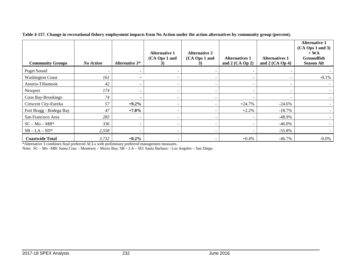| <b>Community Groups</b> | <b>No Action</b> | Alternative 3* | <b>Alternative 1</b><br>(CA Ops 1 and | <b>Alternative 2</b><br>(CA Ops 1 and | <b>Alternatives 1</b><br>and $2$ (CA Op 2) | <b>Alternatives 1</b><br>and $2$ (CA Op 4) | <b>Alternative 1</b><br>$(CA$ Ops 1 and 3)<br>$+ WA$<br><b>Groundfish</b><br><b>Season Alt</b> |
|-------------------------|------------------|----------------|---------------------------------------|---------------------------------------|--------------------------------------------|--------------------------------------------|------------------------------------------------------------------------------------------------|
| <b>Puget Sound</b>      |                  | ۰              |                                       |                                       |                                            |                                            |                                                                                                |
| <b>Washington Coast</b> | 161              |                |                                       |                                       |                                            |                                            | $-0.1%$                                                                                        |
| Astoria-Tillamook       | 42               | ۰              |                                       |                                       | $\overline{\phantom{a}}$                   |                                            |                                                                                                |
| Newport                 | 174              | ۰              |                                       |                                       |                                            |                                            |                                                                                                |
| Coos Bay-Brookings      | 74               | ۰              | $\overline{\phantom{0}}$              | $\overline{\phantom{0}}$              | $\overline{\phantom{a}}$                   |                                            |                                                                                                |
| Crescent City-Eureka    | 57               | $+9.2\%$       |                                       |                                       | $+24.7%$                                   | $-24.6\%$                                  |                                                                                                |
| Fort Bragg - Bodega Bay | 47               | $+7.0\%$       |                                       |                                       | $+2.2%$                                    | $-18.7\%$                                  |                                                                                                |
| San Francisco Area      | 283              | ۰              |                                       | $\overline{\phantom{a}}$              |                                            | $-48.9\%$                                  |                                                                                                |
| $SC - Mo - MB^*$        | 336              | ۰              |                                       |                                       |                                            | $-46.0\%$                                  |                                                                                                |
| $SB - LA - SD^*$        | 2,558            | ۰              |                                       |                                       |                                            | $-55.8%$                                   |                                                                                                |
| <b>Coastwide Total</b>  | 3,732            | $+0.2\%$       |                                       |                                       | $+0.4%$                                    | $-46.7\%$                                  | $-0.0\%$                                                                                       |

**Table 4-157. Change in recreational fishery employment impacts from No Action under the action alternatives by community group (percent).**

<span id="page-29-0"></span>\*Alternative 3 combines final preferred ACLs with preliminary preferred management measures.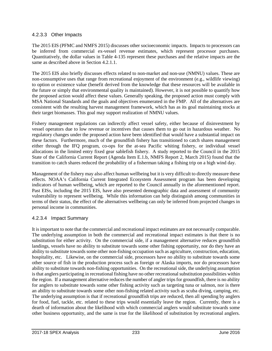### 4.2.3.3 Other Impacts

The 2015 EIS (PFMC and NMFS 2015) discusses other socioeconomic impacts. Impacts to processors can be inferred from commercial ex-vessel revenue estimates, which represent processor purchases. Quantitatively, the dollar values in [Table 4-135](#page-3-0) represent these purchases and the relative impacts are the same as described above in Section [4.2.1.1.](#page-2-1)

The 2015 EIS also briefly discusses effects related to non-market and non-use (NMNU) values. These are non-consumptive uses that range from recreational enjoyment of the environment (e.g., wildlife viewing) to option or existence value (benefit derived from the knowledge that these resources will be available in the future or simply that environmental quality is maintained). However, it is not possible to quantify how the proposed action would affect these values. Generally speaking, the proposed action must comply with MSA National Standards and the goals and objectives enumerated in the FMP. All of the alternatives are consistent with the resulting harvest management framework, which has as its goal maintaining stocks at their target biomasses. This goal may support realization of NMNU values.

Fishery management regulations can indirectly affect vessel safety, either because of disinvestment by vessel operators due to low revenue or incentives that causes them to go out in hazardous weather. No regulatory changes under the proposed action have been identified that would have a substantial impact on these factors. Furthermore, much of the groundfish fishery has transitioned to catch shares management either through the IFQ program, co-ops for the at-sea Pacific whiting fishery, or individual vessel allocations in the limited entry fixed gear sablefish fishery. A study reported to the Council in the 2015 State of the California Current Report (Agenda Item E.1.b, NMFS Report 2, March 2015) found that the transition to catch shares reduced the probability of a fisherman taking a fishing trip on a high wind day.

Management of the fishery may also affect human wellbeing but it is very difficult to directly measure these effects. NOAA's California Current Integrated Ecosystem Assessment program has been developing indicators of human wellbeing, which are reported to the Council annually in the aforementioned report. Past EISs, including the 2015 EIS, have also presented demographic data and assessment of community vulnerability to represent wellbeing. While this information can help distinguish among communities in terms of their status, the effect of the alternatives wellbeing can only be inferred from projected changes in personal income in communities.

# 4.2.3.4 Impact Summary

It is important to note that the commercial and recreational impact estimates are not necessarily comparable. The underlying assumption in both the commercial and recreational impact estimates is that there is no substitution for either activity. On the commercial side, if a management alternative reduces groundfish landings, vessels have no ability to substitute towards some other fishing opportunity, nor do they have an ability to substitute towards some other non-fishing occupation such as agriculture, construction, education, hospitality, etc. Likewise, on the commercial side, processors have no ability to substitute towards some other source of fish in the production process such as foreign or Alaska imports, nor do processors have ability to substitute towards non-fishing opportunities. On the recreational side, the underlying assumption is that anglers participating in recreational fishing have no other recreational substitution possibilities within the region. If a management alternative reduces the number of angler trips for groundfish, there is no ability for anglers to substitute towards some other fishing activity such as targeting tuna or salmon, nor is there an ability to substitute towards some other non-fishing related activity such as scuba diving, camping, etc. The underlying assumption is that if recreational groundfish trips are reduced, then all spending by anglers for food, fuel, tackle, etc. related to these trips would essentially leave the region. Currently, there is a dearth of information about the likelihood with which commercial anglers would substitute towards some other business opportunity, and the same is true for the likelihood of substitution by recreational anglers.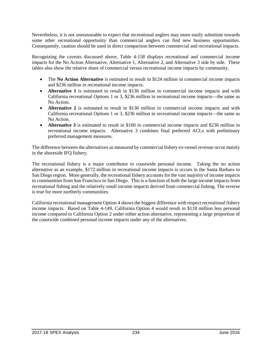Nevertheless, it is not unreasonable to expect that recreational anglers may more easily substitute towards some other recreational opportunity than commercial anglers can find new business opportunities. Consequently, caution should be used in direct comparison between commercial and recreational impacts.

Recognizing the caveats discussed above, [Table 4-158](#page-32-0) displays recreational and commercial income impacts for the No Action Alternative, Alternative 1, Alternative 2, and Alternative 3 side by side. These tables also show the relative share of commercial versus recreational income impacts by community.

- The **No Action Alternative** is estimated to result in \$124 million in commercial income impacts and \$236 million in recreational income impacts.
- **Alternative 1** is estimated to result in \$136 million in commercial income impacts and with California recreational Options 1 or 3, \$236 million in recreational income impacts—the same as No Action.
- **Alternative 2** is estimated to result in \$136 million in commercial income impacts and with California recreational Options 1 or 3, \$236 million in recreational income impacts—the same as No Action.
- **Alternative 3** is estimated to result in \$160 in commercial income impacts and \$236 million in recreational income impacts. Alternative 3 combines final preferred ACLs with preliminary preferred management measures.

The difference between the alternatives as measured by commercial fishery ex-vessel revenue occur mainly in the shoreside IFQ fishery.

The recreational fishery is a major contributor to coastwide personal income. Taking the no action alternative as an example, \$172 million in recreational income impacts is occurs in the Santa Barbara to San Diego region. More generally, the recreational fishery accounts for the vast majority of income impacts in communities from San Francisco to San Diego. This is a function of both the large income impacts from recreational fishing and the relatively small income impacts derived from commercial fishing. The reverse is true for more northerly communities.

California recreational management Option 4 shows the biggest difference with respect recreational fishery income impacts. Based on [Table 4-149,](#page-21-0) California Option 4 would result in \$118 million less personal income compared to California Option 2 under either action alternative, representing a large proportion of the coastwide combined personal income impacts under any of the alternatives.